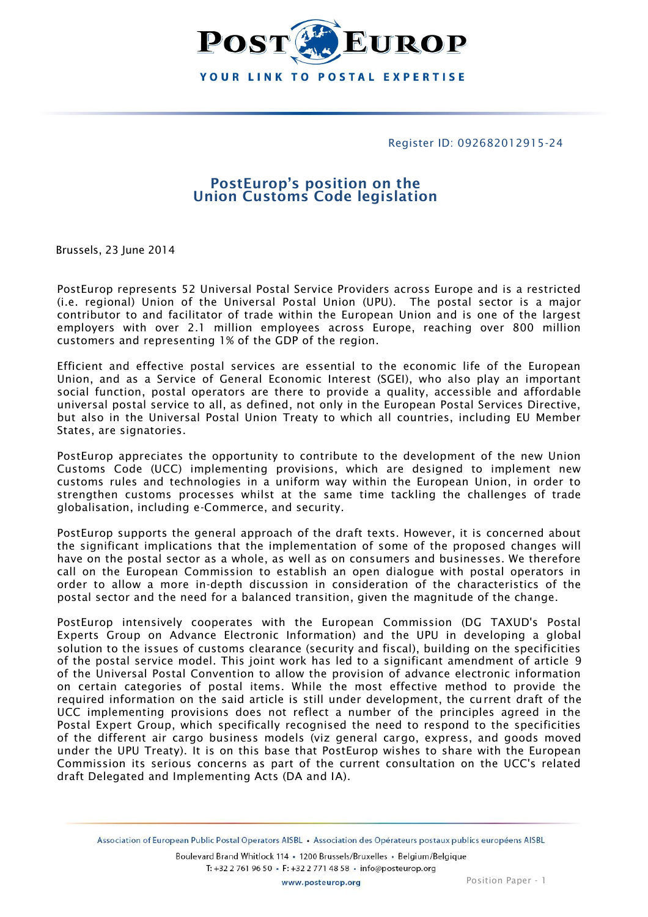

#### Register ID: 092682012915-24

# **PostEurop's position on the Union Customs Code legislation**

Brussels, 23 June 2014

PostEurop represents 52 Universal Postal Service Providers across Europe and is a restricted (i.e. regional) Union of the Universal Postal Union (UPU). The postal sector is a major contributor to and facilitator of trade within the European Union and is one of the largest employers with over 2.1 million employees across Europe, reaching over 800 million customers and representing 1% of the GDP of the region.

Efficient and effective postal services are essential to the economic life of the European Union, and as a Service of General Economic Interest (SGEI), who also play an important social function, postal operators are there to provide a quality, accessible and affordable universal postal service to all, as defined, not only in the European Postal Services Directive, but also in the Universal Postal Union Treaty to which all countries, including EU Member States, are signatories.

PostEurop appreciates the opportunity to contribute to the development of the new Union Customs Code (UCC) implementing provisions, which are designed to implement new customs rules and technologies in a uniform way within the European Union, in order to strengthen customs processes whilst at the same time tackling the challenges of trade globalisation, including e-Commerce, and security.

PostEurop supports the general approach of the draft texts. However, it is concerned about the significant implications that the implementation of some of the proposed changes will have on the postal sector as a whole, as well as on consumers and businesses. We therefore call on the European Commission to establish an open dialogue with postal operators in order to allow a more in-depth discussion in consideration of the characteristics of the postal sector and the need for a balanced transition, given the magnitude of the change.

PostEurop intensively cooperates with the European Commission (DG TAXUD's Postal Experts Group on Advance Electronic Information) and the UPU in developing a global solution to the issues of customs clearance (security and fiscal), building on the specificities of the postal service model. This joint work has led to a significant amendment of article 9 of the Universal Postal Convention to allow the provision of advance electronic information on certain categories of postal items. While the most effective method to provide the required information on the said article is still under development, the current draft of the UCC implementing provisions does not reflect a number of the principles agreed in the Postal Expert Group, which specifically recognised the need to respond to the specificities of the different air cargo business models (viz general cargo, express, and goods moved under the UPU Treaty). It is on this base that PostEurop wishes to share with the European Commission its serious concerns as part of the current consultation on the UCC's related draft Delegated and Implementing Acts (DA and IA).

Association of European Public Postal Operators AISBL · Association des Opérateurs postaux publics européens AISBL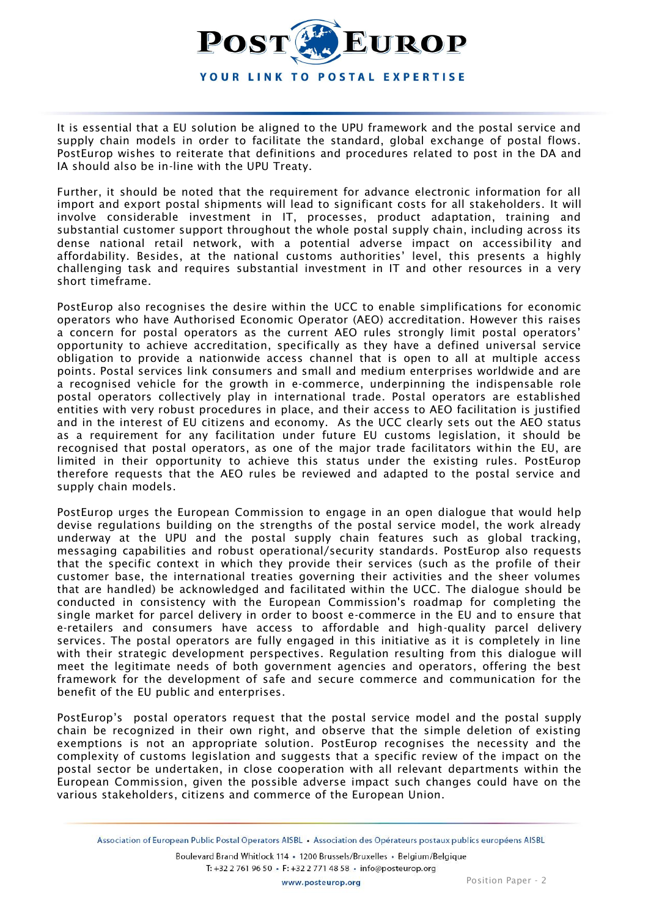

It is essential that a EU solution be aligned to the UPU framework and the postal service and supply chain models in order to facilitate the standard, global exchange of postal flows. PostEurop wishes to reiterate that definitions and procedures related to post in the DA and IA should also be in-line with the UPU Treaty.

Further, it should be noted that the requirement for advance electronic information for all import and export postal shipments will lead to significant costs for all stakeholders. It will involve considerable investment in IT, processes, product adaptation, training and substantial customer support throughout the whole postal supply chain, including across its dense national retail network, with a potential adverse impact on accessibility and affordability. Besides, at the national customs authorities' level, this presents a highly challenging task and requires substantial investment in IT and other resources in a very short timeframe.

PostEurop also recognises the desire within the UCC to enable simplifications for economic operators who have Authorised Economic Operator (AEO) accreditation. However this raises a concern for postal operators as the current AEO rules strongly limit postal operators' opportunity to achieve accreditation, specifically as they have a defined universal service obligation to provide a nationwide access channel that is open to all at multiple access points. Postal services link consumers and small and medium enterprises worldwide and are a recognised vehicle for the growth in e-commerce, underpinning the indispensable role postal operators collectively play in international trade. Postal operators are established entities with very robust procedures in place, and their access to AEO facilitation is justified and in the interest of EU citizens and economy. As the UCC clearly sets out the AEO status as a requirement for any facilitation under future EU customs legislation, it should be recognised that postal operators, as one of the major trade facilitators within the EU, are limited in their opportunity to achieve this status under the existing rules. PostEurop therefore requests that the AEO rules be reviewed and adapted to the postal service and supply chain models.

PostEurop urges the European Commission to engage in an open dialogue that would help devise regulations building on the strengths of the postal service model, the work already underway at the UPU and the postal supply chain features such as global tracking, messaging capabilities and robust operational/security standards. PostEurop also requests that the specific context in which they provide their services (such as the profile of their customer base, the international treaties governing their activities and the sheer volumes that are handled) be acknowledged and facilitated within the UCC. The dialogue should be conducted in consistency with the European Commission's roadmap for completing the single market for parcel delivery in order to boost e-commerce in the EU and to ensure that e-retailers and consumers have access to affordable and high-quality parcel delivery services. The postal operators are fully engaged in this initiative as it is completely in line with their strategic development perspectives. Regulation resulting from this dialogue will meet the legitimate needs of both government agencies and operators, offering the best framework for the development of safe and secure commerce and communication for the benefit of the EU public and enterprises.

PostEurop's postal operators request that the postal service model and the postal supply chain be recognized in their own right, and observe that the simple deletion of existing exemptions is not an appropriate solution. PostEurop recognises the necessity and the complexity of customs legislation and suggests that a specific review of the impact on the postal sector be undertaken, in close cooperation with all relevant departments within the European Commission, given the possible adverse impact such changes could have on the various stakeholders, citizens and commerce of the European Union.

Association of European Public Postal Operators AISBL · Association des Opérateurs postaux publics européens AISBL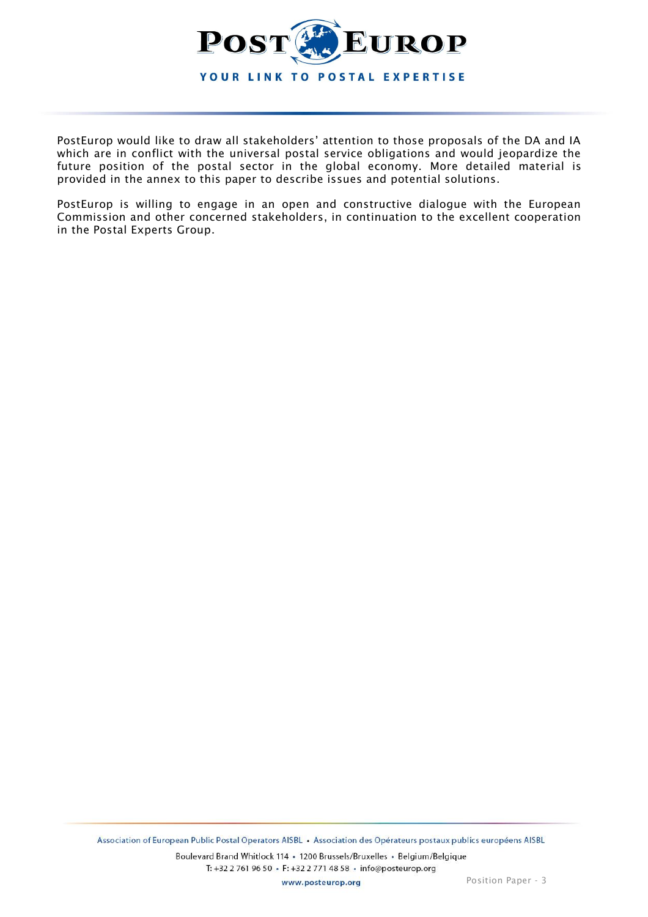

PostEurop would like to draw all stakeholders' attention to those proposals of the DA and IA which are in conflict with the universal postal service obligations and would jeopardize the future position of the postal sector in the global economy. More detailed material is provided in the annex to this paper to describe issues and potential solutions.

PostEurop is willing to engage in an open and constructive dialogue with the European Commission and other concerned stakeholders, in continuation to the excellent cooperation in the Postal Experts Group.

www.posteurop.org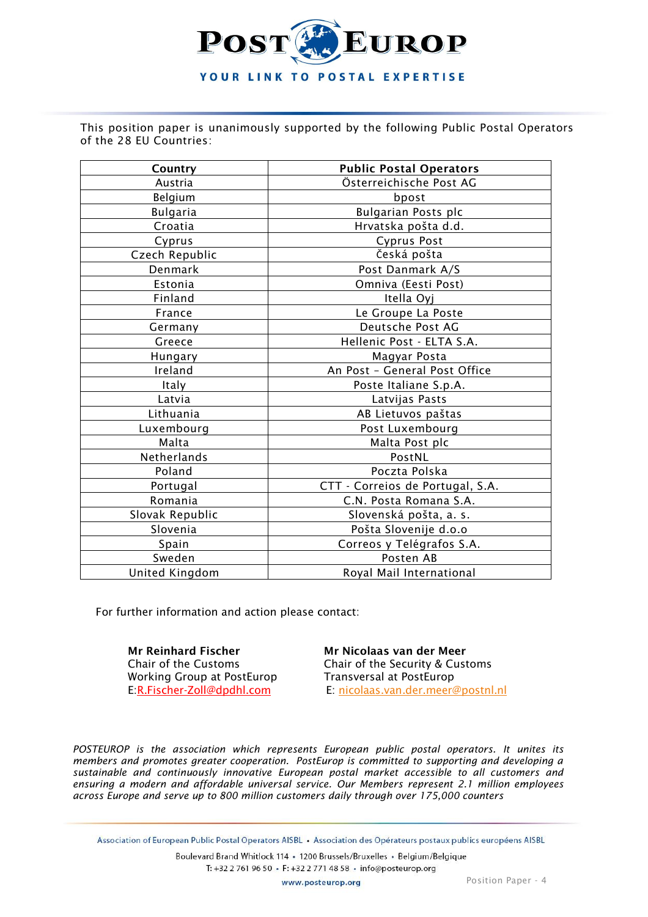

This position paper is unanimously supported by the following Public Postal Operators of the 28 EU Countries:

| Country                                      | <b>Public Postal Operators</b> |  |
|----------------------------------------------|--------------------------------|--|
| Austria                                      | Österreichische Post AG        |  |
| Belgium                                      | bpost                          |  |
| <b>Bulgaria</b>                              | Bulgarian Posts plc            |  |
| Croatia                                      | Hrvatska pošta d.d.            |  |
| Cyprus                                       | Cyprus Post                    |  |
| Czech Republic                               | Česká pošta                    |  |
| Denmark                                      | Post Danmark A/S               |  |
| Estonia                                      | Omniva (Eesti Post)            |  |
| Finland                                      | Itella Oyj                     |  |
| France                                       | Le Groupe La Poste             |  |
| Germany                                      | Deutsche Post AG               |  |
| Greece                                       | Hellenic Post - ELTA S.A.      |  |
| Hungary                                      | Magyar Posta                   |  |
| Ireland                                      | An Post - General Post Office  |  |
| Italy                                        | Poste Italiane S.p.A.          |  |
| Latvia                                       | Latvijas Pasts                 |  |
| Lithuania                                    | AB Lietuvos paštas             |  |
| Luxembourg                                   | Post Luxembourg                |  |
| Malta                                        | Malta Post plc                 |  |
| Netherlands                                  | PostNL                         |  |
| Poland                                       | Poczta Polska                  |  |
| CTT - Correios de Portugal, S.A.<br>Portugal |                                |  |
| Romania                                      | C.N. Posta Romana S.A.         |  |
| Slovak Republic                              | Slovenská pošta, a. s.         |  |
| Slovenia                                     | Pošta Slovenije d.o.o          |  |
| Spain                                        | Correos y Telégrafos S.A.      |  |
| Sweden                                       | Posten AB                      |  |
| Royal Mail International<br>United Kingdom   |                                |  |

For further information and action please contact:

**Mr Reinhard Fischer Mr Nicolaas van der Meer** Working Group at PostEurop Transversal at PostEurop<br>E: R.Fischer-Zoll@dpdhl.com E: nicolaas.van.der.meer@

Chair of the Customs Chair of the Security & Customs E: [nicolaas.van.der.meer@postnl.nl](mailto:nicolaas.van.der.meer@postnl.nl)

*POSTEUROP is the association which represents European public postal operators. It unites its members and promotes greater cooperation. PostEurop is committed to supporting and developing a sustainable and continuously innovative European postal market accessible to all customers and ensuring a modern and affordable universal service. Our Members represent 2.1 million employees across Europe and serve up to 800 million customers daily through over 175,000 counters*

Association of European Public Postal Operators AISBL · Association des Opérateurs postaux publics européens AISBL

Boulevard Brand Whitlock 114 · 1200 Brussels/Bruxelles · Belgium/Belgique T: +32 2 761 96 50 · F: +32 2 771 48 58 · info@posteurop.org

www.posteurop.org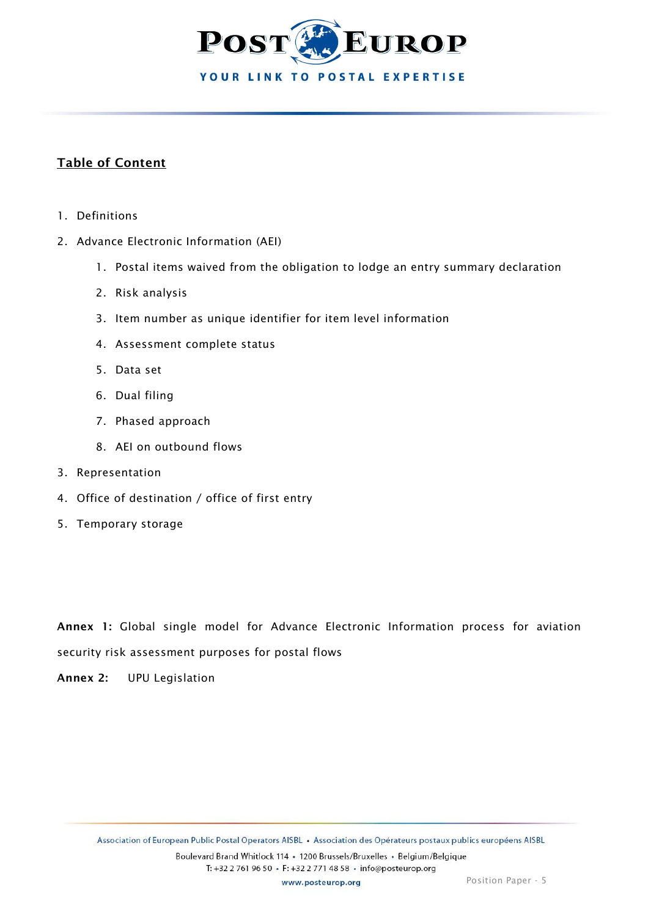

# **Table of Content**

- 1. Definitions
- 2. Advance Electronic Information (AEI)
	- 1. Postal items waived from the obligation to lodge an entry summary declaration
	- 2. Risk analysis
	- 3. Item number as unique identifier for item level information
	- 4. Assessment complete status
	- 5. Data set
	- 6. Dual filing
	- 7. Phased approach
	- 8. AEI on outbound flows
- 3. Representation
- 4. Office of destination / office of first entry
- 5. Temporary storage

**Annex 1:** Global single model for Advance Electronic Information process for aviation

security risk assessment purposes for postal flows

**Annex 2:** UPU Legislation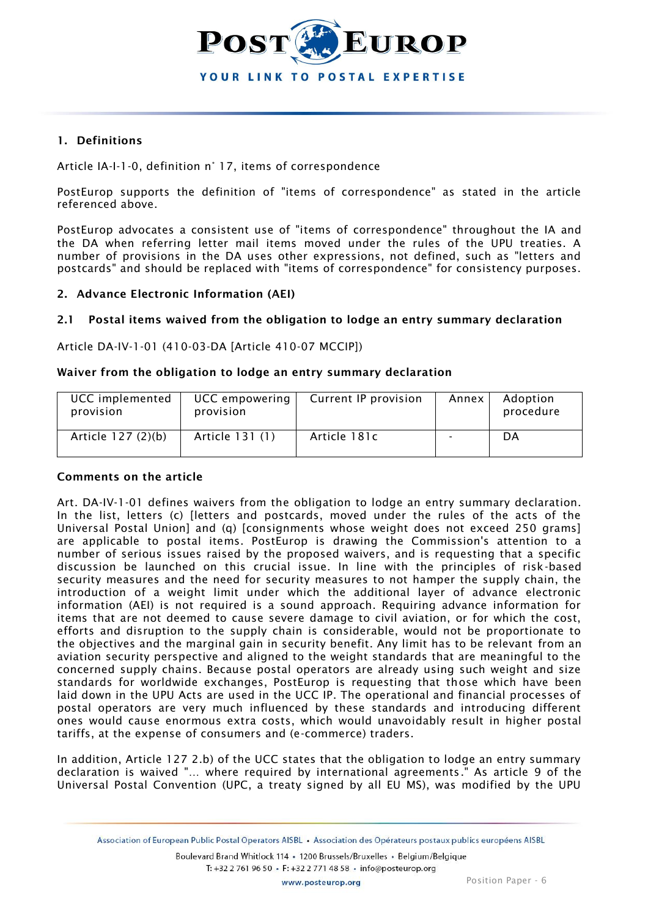

## **1. Definitions**

Article IA-I-1-0, definition n° 17, items of correspondence

PostEurop supports the definition of "items of correspondence" as stated in the article referenced above.

PostEurop advocates a consistent use of "items of correspondence" throughout the IA and the DA when referring letter mail items moved under the rules of the UPU treaties. A number of provisions in the DA uses other expressions, not defined, such as "letters and postcards" and should be replaced with "items of correspondence" for consistency purposes.

#### **2. Advance Electronic Information (AEI)**

#### **2.1 Postal items waived from the obligation to lodge an entry summary declaration**

Article DA-IV-1-01 (410-03-DA [Article 410-07 MCCIP])

#### **Waiver from the obligation to lodge an entry summary declaration**

| UCC implemented<br>provision | UCC empowering<br>provision | Current IP provision | Annex I | Adoption<br>procedure |
|------------------------------|-----------------------------|----------------------|---------|-----------------------|
| Article 127 (2)(b)           | Article 131 (1)             | Article 181c         |         | DA                    |

#### **Comments on the article**

Art. DA-IV-1-01 defines waivers from the obligation to lodge an entry summary declaration. In the list, letters (c) [letters and postcards, moved under the rules of the acts of the Universal Postal Union] and (q) [consignments whose weight does not exceed 250 grams] are applicable to postal items. PostEurop is drawing the Commission's attention to a number of serious issues raised by the proposed waivers, and is requesting that a specific discussion be launched on this crucial issue. In line with the principles of risk-based security measures and the need for security measures to not hamper the supply chain, the introduction of a weight limit under which the additional layer of advance electronic information (AEI) is not required is a sound approach. Requiring advance information for items that are not deemed to cause severe damage to civil aviation, or for which the cost, efforts and disruption to the supply chain is considerable, would not be proportionate to the objectives and the marginal gain in security benefit. Any limit has to be relevant from an aviation security perspective and aligned to the weight standards that are meaningful to the concerned supply chains. Because postal operators are already using such weight and size standards for worldwide exchanges, PostEurop is requesting that those which have been laid down in the UPU Acts are used in the UCC IP. The operational and financial processes of postal operators are very much influenced by these standards and introducing different ones would cause enormous extra costs, which would unavoidably result in higher postal tariffs, at the expense of consumers and (e-commerce) traders.

In addition, Article 127 2.b) of the UCC states that the obligation to lodge an entry summary declaration is waived "… where required by international agreements ." As article 9 of the Universal Postal Convention (UPC, a treaty signed by all EU MS), was modified by the UPU

Association of European Public Postal Operators AISBL · Association des Opérateurs postaux publics européens AISBL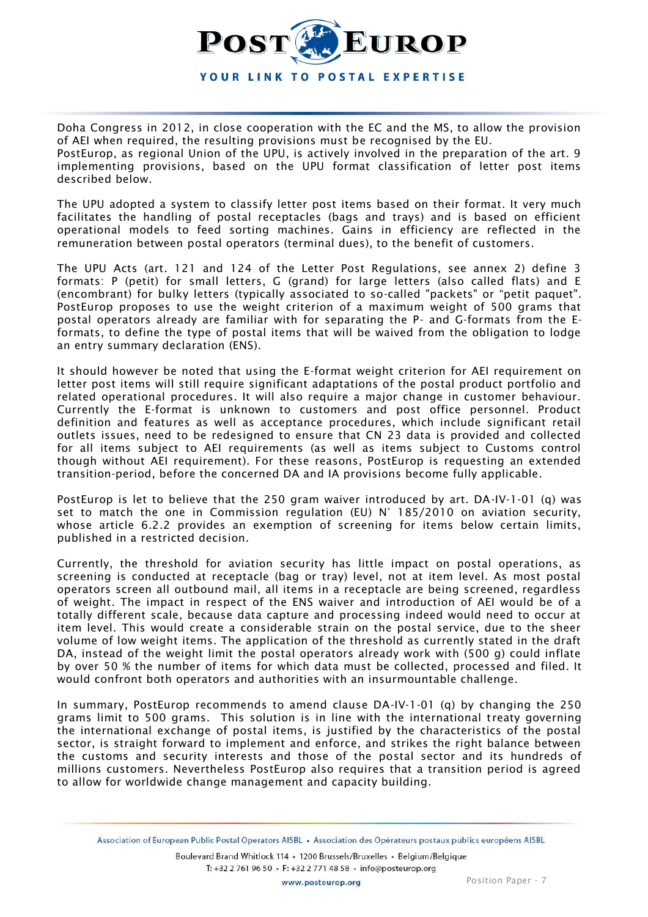

Doha Congress in 2012, in close cooperation with the EC and the MS, to allow the provision of AEI when required, the resulting provisions must be recognised by the EU. PostEurop, as regional Union of the UPU, is actively involved in the preparation of the art. 9 implementing provisions, based on the UPU format classification of letter post items described below.

The UPU adopted a system to classify letter post items based on their format. It very much facilitates the handling of postal receptacles (bags and trays) and is based on efficient operational models to feed sorting machines. Gains in efficiency are reflected in the remuneration between postal operators (terminal dues), to the benefit of customers.

The UPU Acts (art. 121 and 124 of the Letter Post Regulations, see annex 2) define 3 formats: P (petit) for small letters, G (grand) for large letters (also called flats) and E (encombrant) for bulky letters (typically associated to so-called "packets" or "petit paquet". PostEurop proposes to use the weight criterion of a maximum weight of 500 grams that postal operators already are familiar with for separating the P- and G-formats from the Eformats, to define the type of postal items that will be waived from the obligation to lodge an entry summary declaration (ENS).

It should however be noted that using the E-format weight criterion for AEI requirement on letter post items will still require significant adaptations of the postal product portfolio and related operational procedures. It will also require a major change in customer behaviour. Currently the E-format is unknown to customers and post office personnel. Product definition and features as well as acceptance procedures, which include significant retail outlets issues, need to be redesigned to ensure that CN 23 data is provided and collected for all items subject to AEI requirements (as well as items subject to Customs control though without AEI requirement). For these reasons, PostEurop is requesting an extended transition-period, before the concerned DA and IA provisions become fully applicable.

PostEurop is let to believe that the 250 gram waiver introduced by art. DA-IV-1-01 (q) was set to match the one in Commission regulation (EU) N° 185/2010 on aviation security, whose article 6.2.2 provides an exemption of screening for items below certain limits, published in a restricted decision.

Currently, the threshold for aviation security has little impact on postal operations, as screening is conducted at receptacle (bag or tray) level, not at item level. As most postal operators screen all outbound mail, all items in a receptacle are being screened, regardless of weight. The impact in respect of the ENS waiver and introduction of AEI would be of a totally different scale, because data capture and processing indeed would need to occur at item level. This would create a considerable strain on the postal service, due to the sheer volume of low weight items. The application of the threshold as currently stated in the draft DA, instead of the weight limit the postal operators already work with (500 g) could inflate by over 50 % the number of items for which data must be collected, processed and filed. It would confront both operators and authorities with an insurmountable challenge.

In summary, PostEurop recommends to amend clause DA-IV-1-01 (q) by changing the 250 grams limit to 500 grams. This solution is in line with the international treaty governing the international exchange of postal items, is justified by the characteristics of the postal sector, is straight forward to implement and enforce, and strikes the right balance between the customs and security interests and those of the postal sector and its hundreds of millions customers. Nevertheless PostEurop also requires that a transition period is agreed to allow for worldwide change management and capacity building.

Association of European Public Postal Operators AISBL · Association des Opérateurs postaux publics européens AISBL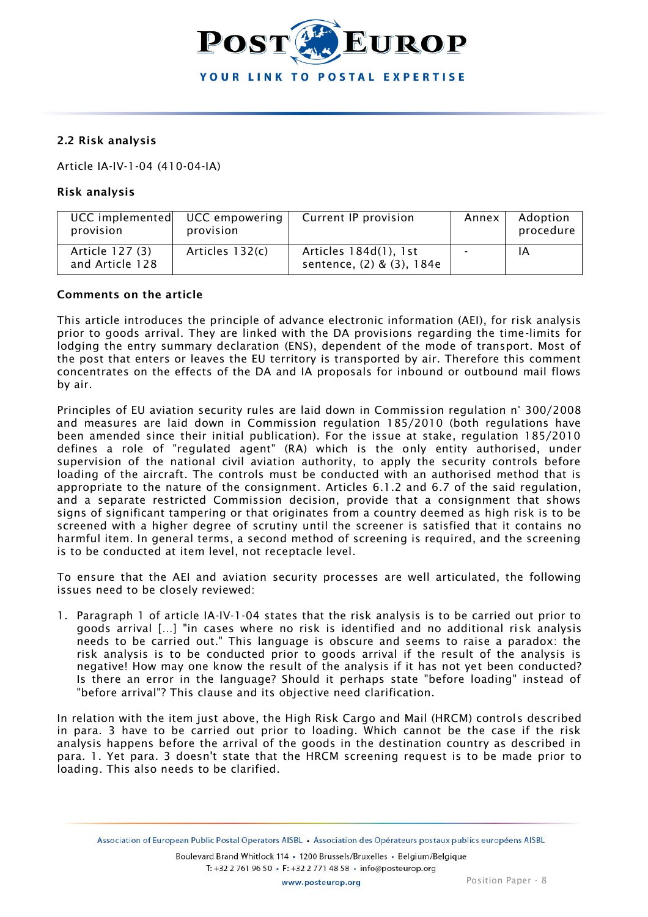

## **2.2 Risk analysis**

Article IA-IV-1-04 (410-04-IA)

## **Risk analysis**

| provision                          | UCC implemented UCC empowering<br>provision | Current IP provision                               | Annex | Adoption<br>procedure |
|------------------------------------|---------------------------------------------|----------------------------------------------------|-------|-----------------------|
| Article 127 (3)<br>and Article 128 | Articles 132(c)                             | Articles 184d(1), 1st<br>sentence, (2) & (3), 184e |       | ΙA                    |

## **Comments on the article**

This article introduces the principle of advance electronic information (AEI), for risk analysis prior to goods arrival. They are linked with the DA provisions regarding the time-limits for lodging the entry summary declaration (ENS), dependent of the mode of transport. Most of the post that enters or leaves the EU territory is transported by air. Therefore this comment concentrates on the effects of the DA and IA proposals for inbound or outbound mail flows by air.

Principles of EU aviation security rules are laid down in Commission regulation n° 300/2008 and measures are laid down in Commission regulation 185/2010 (both regulations have been amended since their initial publication). For the issue at stake, regulation 185/2010 defines a role of "regulated agent" (RA) which is the only entity authorised, under supervision of the national civil aviation authority, to apply the security controls before loading of the aircraft. The controls must be conducted with an authorised method that is appropriate to the nature of the consignment. Articles 6.1.2 and 6.7 of the said regulation, and a separate restricted Commission decision, provide that a consignment that shows signs of significant tampering or that originates from a country deemed as high risk is to be screened with a higher degree of scrutiny until the screener is satisfied that it contains no harmful item. In general terms, a second method of screening is required, and the screening is to be conducted at item level, not receptacle level.

To ensure that the AEI and aviation security processes are well articulated, the following issues need to be closely reviewed:

1. Paragraph 1 of article IA-IV-1-04 states that the risk analysis is to be carried out prior to goods arrival […] "in cases where no risk is identified and no additional risk analysis needs to be carried out." This language is obscure and seems to raise a paradox: the risk analysis is to be conducted prior to goods arrival if the result of the analysis is negative! How may one know the result of the analysis if it has not yet been conducted? Is there an error in the language? Should it perhaps state "before loading" instead of "before arrival"? This clause and its objective need clarification.

In relation with the item just above, the High Risk Cargo and Mail (HRCM) controls described in para. 3 have to be carried out prior to loading. Which cannot be the case if the risk analysis happens before the arrival of the goods in the destination country as described in para. 1. Yet para. 3 doesn't state that the HRCM screening request is to be made prior to loading. This also needs to be clarified.

Association of European Public Postal Operators AISBL · Association des Opérateurs postaux publics européens AISBL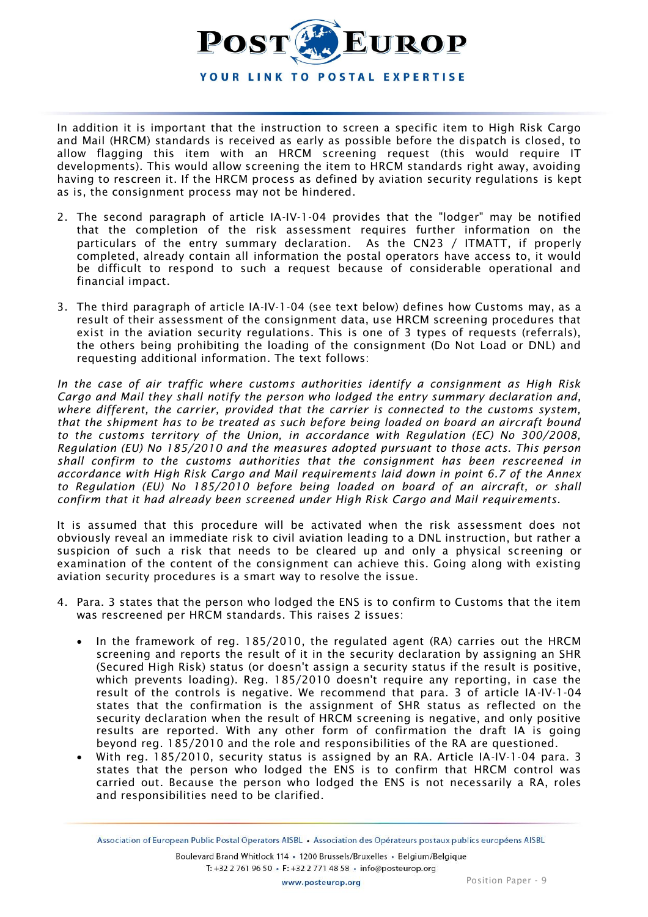

In addition it is important that the instruction to screen a specific item to High Risk Cargo and Mail (HRCM) standards is received as early as possible before the dispatch is closed, to allow flagging this item with an HRCM screening request (this would require IT developments). This would allow screening the item to HRCM standards right away, avoiding having to rescreen it. If the HRCM process as defined by aviation security regulations is kept as is, the consignment process may not be hindered.

- 2. The second paragraph of article IA-IV-1-04 provides that the "lodger" may be notified that the completion of the risk assessment requires further information on the particulars of the entry summary declaration. As the CN23 / ITMATT, if properly completed, already contain all information the postal operators have access to, it would be difficult to respond to such a request because of considerable operational and financial impact.
- 3. The third paragraph of article IA-IV-1-04 (see text below) defines how Customs may, as a result of their assessment of the consignment data, use HRCM screening procedures that exist in the aviation security regulations. This is one of 3 types of requests (referrals), the others being prohibiting the loading of the consignment (Do Not Load or DNL) and requesting additional information. The text follows:

*In the case of air traffic where customs authorities identify a consignment as High Risk Cargo and Mail they shall notify the person who lodged the entry summary declaration and, where different, the carrier, provided that the carrier is connected to the customs system, that the shipment has to be treated as such before being loaded on board an aircraft bound to the customs territory of the Union, in accordance with Regulation (EC) No 300/2008, Regulation (EU) No 185/2010 and the measures adopted pursuant to those acts. This person shall confirm to the customs authorities that the consignment has been rescreened in accordance with High Risk Cargo and Mail requirements laid down in point 6.7 of the Annex to Regulation (EU) No 185/2010 before being loaded on board of an aircraft, or shall confirm that it had already been screened under High Risk Cargo and Mail requirements.*

It is assumed that this procedure will be activated when the risk assessment does not obviously reveal an immediate risk to civil aviation leading to a DNL instruction, but rather a suspicion of such a risk that needs to be cleared up and only a physical screening or examination of the content of the consignment can achieve this. Going along with existing aviation security procedures is a smart way to resolve the issue.

- 4. Para. 3 states that the person who lodged the ENS is to confirm to Customs that the item was rescreened per HRCM standards. This raises 2 issues:
	- In the framework of reg. 185/2010, the regulated agent (RA) carries out the HRCM screening and reports the result of it in the security declaration by assigning an SHR (Secured High Risk) status (or doesn't assign a security status if the result is positive, which prevents loading). Reg. 185/2010 doesn't require any reporting, in case the result of the controls is negative. We recommend that para. 3 of article IA-IV-1-04 states that the confirmation is the assignment of SHR status as reflected on the security declaration when the result of HRCM screening is negative, and only positive results are reported. With any other form of confirmation the draft IA is going beyond reg. 185/2010 and the role and responsibilities of the RA are questioned.
	- With reg. 185/2010, security status is assigned by an RA. Article IA-IV-1-04 para. 3 states that the person who lodged the ENS is to confirm that HRCM control was carried out. Because the person who lodged the ENS is not necessarily a RA, roles and responsibilities need to be clarified.

Association of European Public Postal Operators AISBL · Association des Opérateurs postaux publics européens AISBL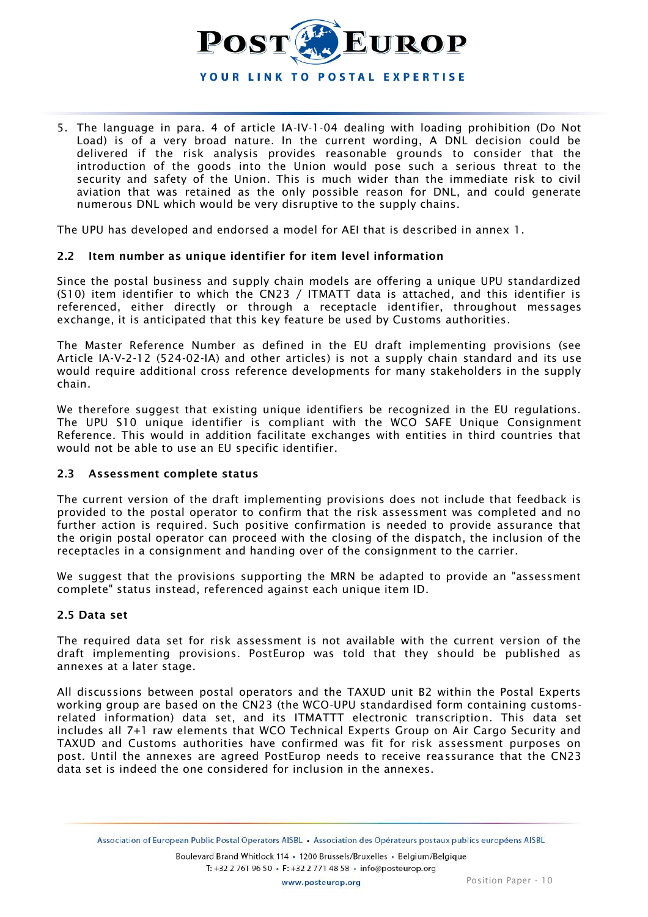

5. The language in para. 4 of article IA-IV-1-04 dealing with loading prohibition (Do Not Load) is of a very broad nature. In the current wording, A DNL decision could be delivered if the risk analysis provides reasonable grounds to consider that the introduction of the goods into the Union would pose such a serious threat to the security and safety of the Union. This is much wider than the immediate risk to civil aviation that was retained as the only possible reason for DNL, and could generate numerous DNL which would be very disruptive to the supply chains.

The UPU has developed and endorsed a model for AEI that is described in annex 1.

#### **2.2 Item number as unique identifier for item level information**

Since the postal business and supply chain models are offering a unique UPU standardized (S10) item identifier to which the CN23 / ITMATT data is attached, and this identifier is referenced, either directly or through a receptacle identifier, throughout messages exchange, it is anticipated that this key feature be used by Customs authorities.

The Master Reference Number as defined in the EU draft implementing provisions (see Article IA-V-2-12 (524-02-IA) and other articles) is not a supply chain standard and its use would require additional cross reference developments for many stakeholders in the supply chain.

We therefore suggest that existing unique identifiers be recognized in the EU regulations. The UPU S10 unique identifier is compliant with the WCO SAFE Unique Consignment Reference. This would in addition facilitate exchanges with entities in third countries that would not be able to use an EU specific identifier.

#### **2.3 Assessment complete status**

The current version of the draft implementing provisions does not include that feedback is provided to the postal operator to confirm that the risk assessment was completed and no further action is required. Such positive confirmation is needed to provide assurance that the origin postal operator can proceed with the closing of the dispatch, the inclusion of the receptacles in a consignment and handing over of the consignment to the carrier.

We suggest that the provisions supporting the MRN be adapted to provide an "assessment complete" status instead, referenced against each unique item ID.

#### **2.5 Data set**

The required data set for risk assessment is not available with the current version of the draft implementing provisions. PostEurop was told that they should be published as annexes at a later stage.

All discussions between postal operators and the TAXUD unit B2 within the Postal Experts working group are based on the CN23 (the WCO-UPU standardised form containing customsrelated information) data set, and its ITMATTT electronic transcription. This data set includes all 7+1 raw elements that WCO Technical Experts Group on Air Cargo Security and TAXUD and Customs authorities have confirmed was fit for risk assessment purposes on post. Until the annexes are agreed PostEurop needs to receive reassurance that the CN23 data set is indeed the one considered for inclusion in the annexes.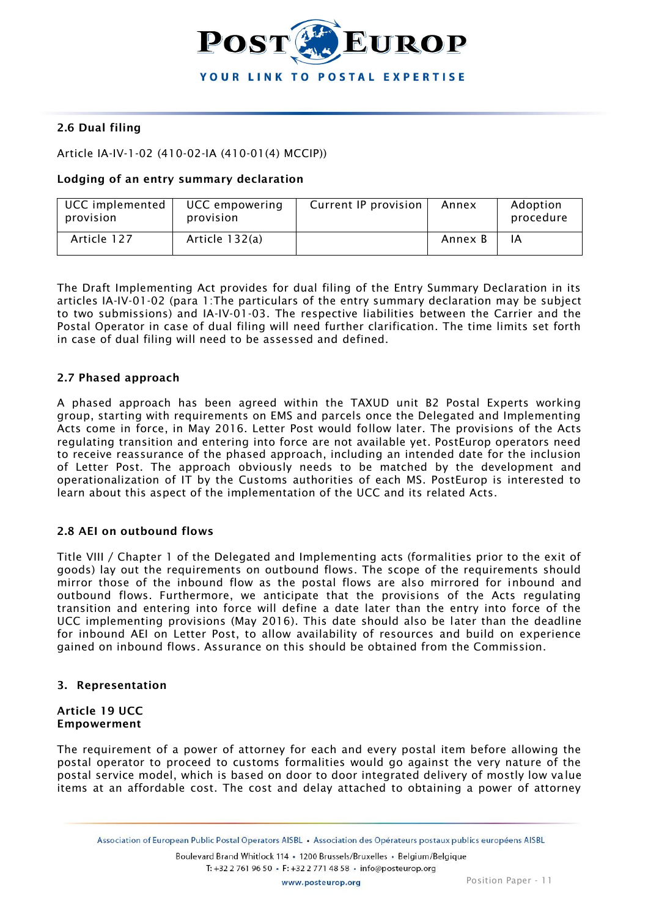

## **2.6 Dual filing**

## Article IA-IV-1-02 (410-02-IA (410-01(4) MCCIP))

#### **Lodging of an entry summary declaration**

| UCC implemented<br>provision | UCC empowering<br>provision | Current IP provision | Annex   | Adoption<br>procedure |
|------------------------------|-----------------------------|----------------------|---------|-----------------------|
| Article 127                  | Article 132(a)              |                      | Annex B | ΙA                    |

The Draft Implementing Act provides for dual filing of the Entry Summary Declaration in its articles IA-IV-01-02 (para 1:The particulars of the entry summary declaration may be subject to two submissions) and IA-IV-01-03. The respective liabilities between the Carrier and the Postal Operator in case of dual filing will need further clarification. The time limits set forth in case of dual filing will need to be assessed and defined.

#### **2.7 Phased approach**

A phased approach has been agreed within the TAXUD unit B2 Postal Experts working group, starting with requirements on EMS and parcels once the Delegated and Implementing Acts come in force, in May 2016. Letter Post would follow later. The provisions of the Acts regulating transition and entering into force are not available yet. PostEurop operators need to receive reassurance of the phased approach, including an intended date for the inclusion of Letter Post. The approach obviously needs to be matched by the development and operationalization of IT by the Customs authorities of each MS. PostEurop is interested to learn about this aspect of the implementation of the UCC and its related Acts.

#### **2.8 AEI on outbound flows**

Title VIII / Chapter 1 of the Delegated and Implementing acts (formalities prior to the exit of goods) lay out the requirements on outbound flows. The scope of the requirements should mirror those of the inbound flow as the postal flows are also mirrored for inbound and outbound flows. Furthermore, we anticipate that the provisions of the Acts regulating transition and entering into force will define a date later than the entry into force of the UCC implementing provisions (May 2016). This date should also be later than the deadline for inbound AEI on Letter Post, to allow availability of resources and build on experience gained on inbound flows. Assurance on this should be obtained from the Commission.

#### **3. Representation**

#### **Article 19 UCC Empowerment**

The requirement of a power of attorney for each and every postal item before allowing the postal operator to proceed to customs formalities would go against the very nature of the postal service model, which is based on door to door integrated delivery of mostly low va lue items at an affordable cost. The cost and delay attached to obtaining a power of attorney

Association of European Public Postal Operators AISBL · Association des Opérateurs postaux publics européens AISBL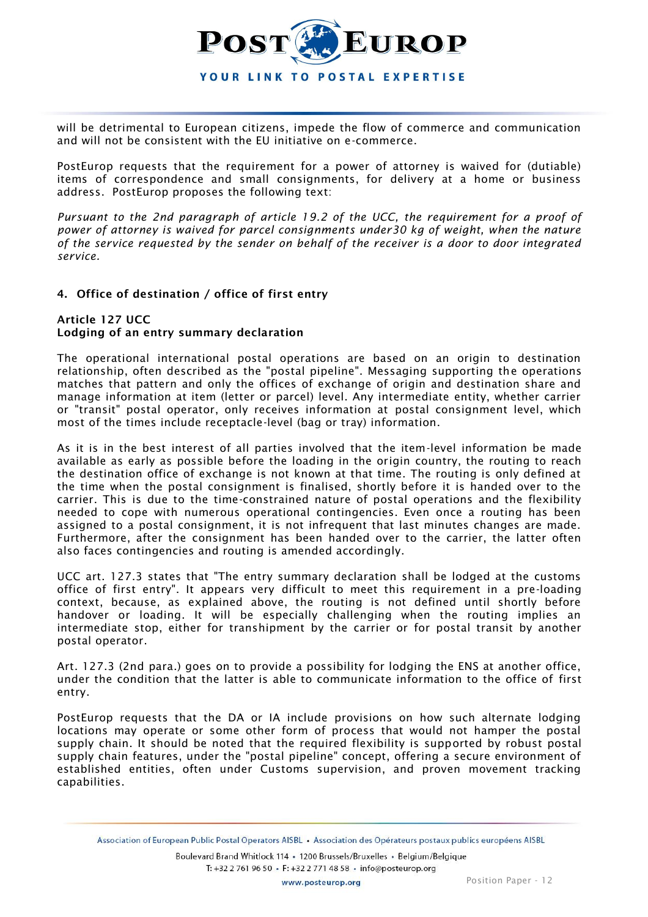

will be detrimental to European citizens, impede the flow of commerce and communication and will not be consistent with the EU initiative on e-commerce.

PostEurop requests that the requirement for a power of attorney is waived for (dutiable) items of correspondence and small consignments, for delivery at a home or business address. PostEurop proposes the following text:

*Pursuant to the 2nd paragraph of article 19.2 of the UCC, the requirement for a proof of power of attorney is waived for parcel consignments under30 kg of weight, when the nature of the service requested by the sender on behalf of the receiver is a door to door integrated service.*

## **4. Office of destination / office of first entry**

### **Article 127 UCC Lodging of an entry summary declaration**

The operational international postal operations are based on an origin to destination relationship, often described as the "postal pipeline". Messaging supporting the operations matches that pattern and only the offices of exchange of origin and destination share and manage information at item (letter or parcel) level. Any intermediate entity, whether carrier or "transit" postal operator, only receives information at postal consignment level, which most of the times include receptacle-level (bag or tray) information.

As it is in the best interest of all parties involved that the item-level information be made available as early as possible before the loading in the origin country, the routing to reach the destination office of exchange is not known at that time. The routing is only defined at the time when the postal consignment is finalised, shortly before it is handed over to the carrier. This is due to the time-constrained nature of postal operations and the flexibility needed to cope with numerous operational contingencies. Even once a routing has been assigned to a postal consignment, it is not infrequent that last minutes changes are made. Furthermore, after the consignment has been handed over to the carrier, the latter often also faces contingencies and routing is amended accordingly.

UCC art. 127.3 states that "The entry summary declaration shall be lodged at the customs office of first entry". It appears very difficult to meet this requirement in a pre-loading context, because, as explained above, the routing is not defined until shortly before handover or loading. It will be especially challenging when the routing implies an intermediate stop, either for transhipment by the carrier or for postal transit by another postal operator.

Art. 127.3 (2nd para.) goes on to provide a possibility for lodging the ENS at another office, under the condition that the latter is able to communicate information to the office of first entry.

PostEurop requests that the DA or IA include provisions on how such alternate lodging locations may operate or some other form of process that would not hamper the postal supply chain. It should be noted that the required flexibility is supported by robust postal supply chain features, under the "postal pipeline" concept, offering a secure environment of established entities, often under Customs supervision, and proven movement tracking capabilities.

Association of European Public Postal Operators AISBL · Association des Opérateurs postaux publics européens AISBL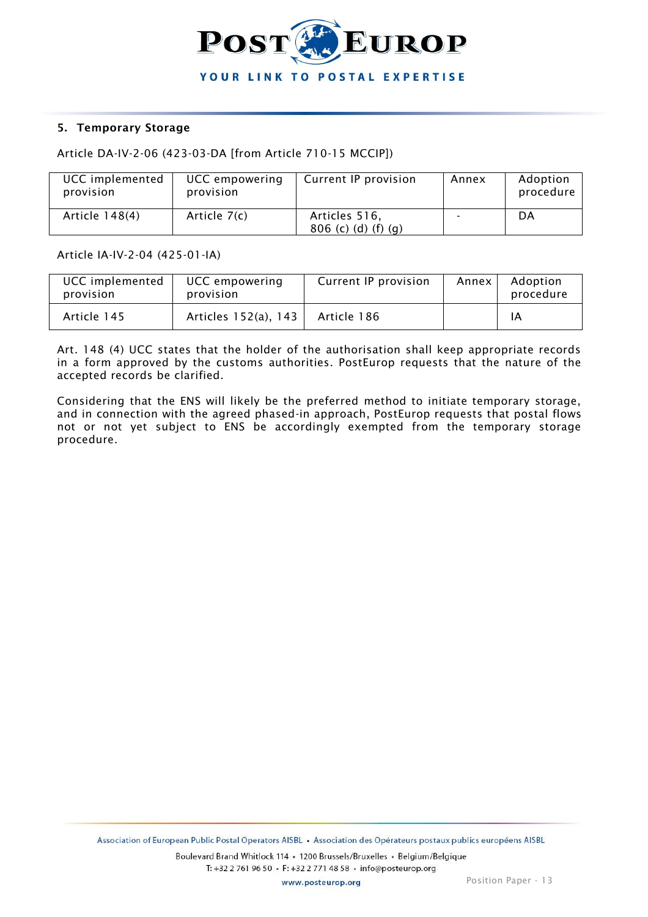

#### **5. Temporary Storage**

Article DA-IV-2-06 (423-03-DA [from Article 710-15 MCCIP])

| UCC implemented<br>provision | UCC empowering<br>provision | Current IP provision                 | Annex | Adoption<br>procedure |
|------------------------------|-----------------------------|--------------------------------------|-------|-----------------------|
| Article 148(4)               | Article 7(c)                | Articles 516,<br>806 (c) (d) (f) (g) | -     | DA                    |

Article IA-IV-2-04 (425-01-IA)

| <b>UCC</b> implemented<br>provision | UCC empowering<br>provision | Current IP provision | Annex | Adoption<br>procedure |
|-------------------------------------|-----------------------------|----------------------|-------|-----------------------|
| Article 145                         | Articles 152(a), 143        | Article 186          |       | ΙA                    |

Art. 148 (4) UCC states that the holder of the authorisation shall keep appropriate records in a form approved by the customs authorities. PostEurop requests that the nature of the accepted records be clarified.

Considering that the ENS will likely be the preferred method to initiate temporary storage, and in connection with the agreed phased-in approach, PostEurop requests that postal flows not or not yet subject to ENS be accordingly exempted from the temporary storage procedure.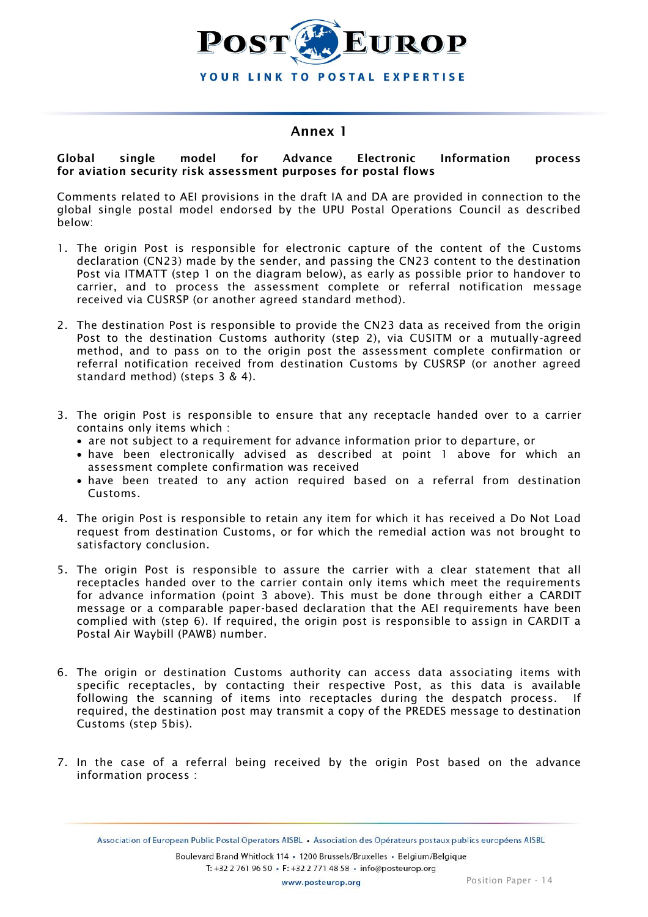

## **Annex 1**

#### **Global single model for Advance Electronic Information process for aviation security risk assessment purposes for postal flows**

Comments related to AEI provisions in the draft IA and DA are provided in connection to the global single postal model endorsed by the UPU Postal Operations Council as described below:

- 1. The origin Post is responsible for electronic capture of the content of the Customs declaration (CN23) made by the sender, and passing the CN23 content to the destination Post via ITMATT (step 1 on the diagram below), as early as possible prior to handover to carrier, and to process the assessment complete or referral notification message received via CUSRSP (or another agreed standard method).
- 2. The destination Post is responsible to provide the CN23 data as received from the origin Post to the destination Customs authority (step 2), via CUSITM or a mutually-agreed method, and to pass on to the origin post the assessment complete confirmation or referral notification received from destination Customs by CUSRSP (or another agreed standard method) (steps 3 & 4).
- 3. The origin Post is responsible to ensure that any receptacle handed over to a carrier contains only items which :
	- are not subject to a requirement for advance information prior to departure, or
	- have been electronically advised as described at point 1 above for which an assessment complete confirmation was received
	- have been treated to any action required based on a referral from destination Customs.
- 4. The origin Post is responsible to retain any item for which it has received a Do Not Load request from destination Customs, or for which the remedial action was not brought to satisfactory conclusion.
- 5. The origin Post is responsible to assure the carrier with a clear statement that all receptacles handed over to the carrier contain only items which meet the requirements for advance information (point 3 above). This must be done through either a CARDIT message or a comparable paper-based declaration that the AEI requirements have been complied with (step 6). If required, the origin post is responsible to assign in CARDIT a Postal Air Waybill (PAWB) number.
- 6. The origin or destination Customs authority can access data associating items with specific receptacles, by contacting their respective Post, as this data is available following the scanning of items into receptacles during the despatch process. If required, the destination post may transmit a copy of the PREDES message to destination Customs (step 5bis).
- 7. In the case of a referral being received by the origin Post based on the advance information process :

Association of European Public Postal Operators AISBL · Association des Opérateurs postaux publics européens AISBL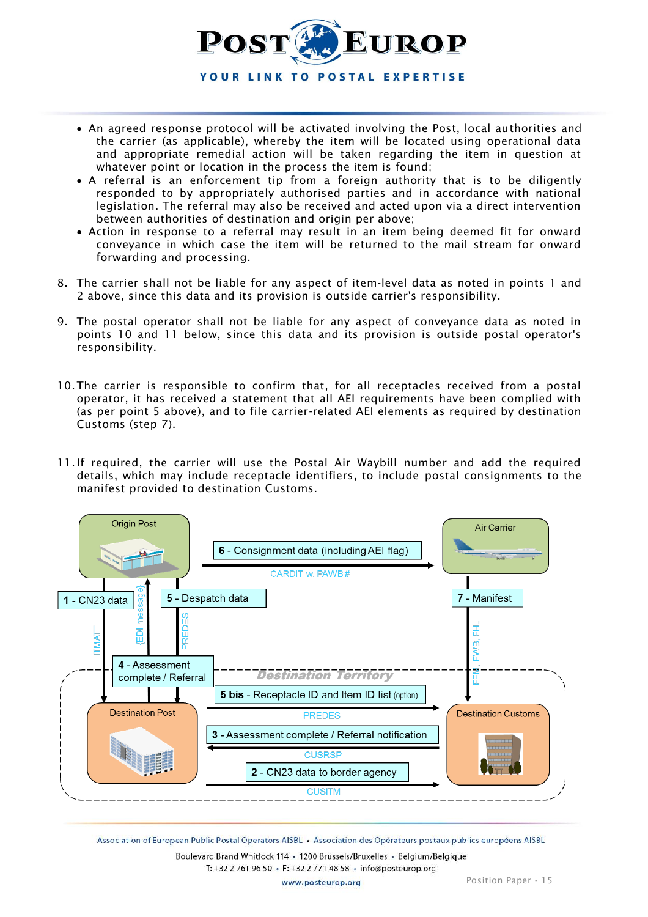

- An agreed response protocol will be activated involving the Post, local authorities and the carrier (as applicable), whereby the item will be located using operational data and appropriate remedial action will be taken regarding the item in question at whatever point or location in the process the item is found;
- A referral is an enforcement tip from a foreign authority that is to be diligently responded to by appropriately authorised parties and in accordance with national legislation. The referral may also be received and acted upon via a direct intervention between authorities of destination and origin per above;
- Action in response to a referral may result in an item being deemed fit for onward conveyance in which case the item will be returned to the mail stream for onward forwarding and processing.
- 8. The carrier shall not be liable for any aspect of item-level data as noted in points 1 and 2 above, since this data and its provision is outside carrier's responsibility.
- 9. The postal operator shall not be liable for any aspect of conveyance data as noted in points 10 and 11 below, since this data and its provision is outside postal operator's responsibility.
- 10.The carrier is responsible to confirm that, for all receptacles received from a postal operator, it has received a statement that all AEI requirements have been complied with (as per point 5 above), and to file carrier-related AEI elements as required by destination Customs (step 7).
- 11.If required, the carrier will use the Postal Air Waybill number and add the required details, which may include receptacle identifiers, to include postal consignments to the manifest provided to destination Customs.



Association of European Public Postal Operators AISBL · Association des Opérateurs postaux publics européens AISBL Boulevard Brand Whitlock 114 · 1200 Brussels/Bruxelles · Belgium/Belgique T: +32 2 761 96 50 · F: +32 2 771 48 58 · info@posteurop.org

www.posteurop.org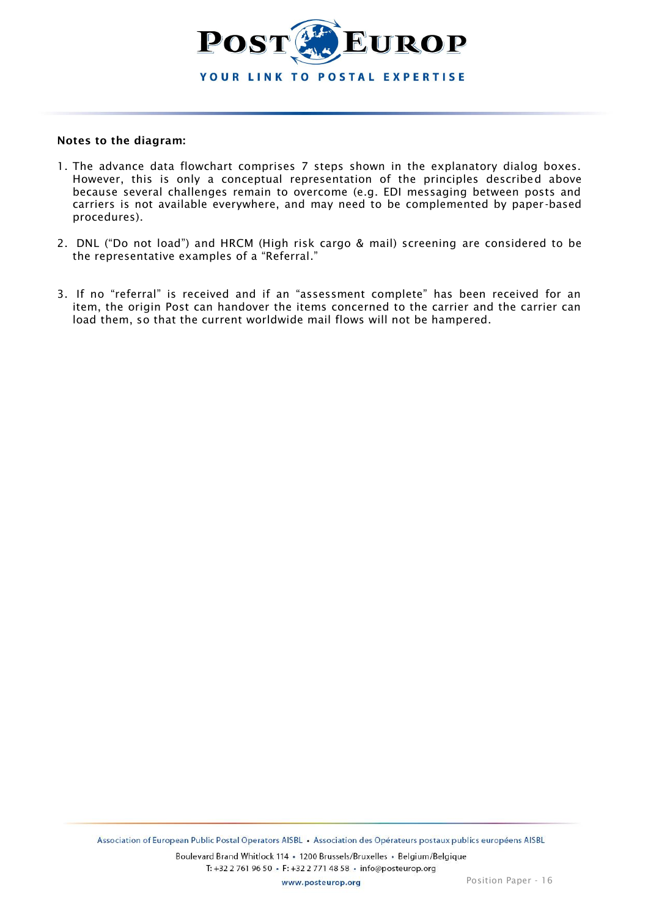

## **Notes to the diagram:**

- 1. The advance data flowchart comprises 7 steps shown in the explanatory dialog boxes. However, this is only a conceptual representation of the principles described above because several challenges remain to overcome (e.g. EDI messaging between posts and carriers is not available everywhere, and may need to be complemented by paper -based procedures).
- 2. DNL ("Do not load") and HRCM (High risk cargo & mail) screening are considered to be the representative examples of a "Referral."
- 3. If no "referral" is received and if an "assessment complete" has been received for an item, the origin Post can handover the items concerned to the carrier and the carrier can load them, so that the current worldwide mail flows will not be hampered.